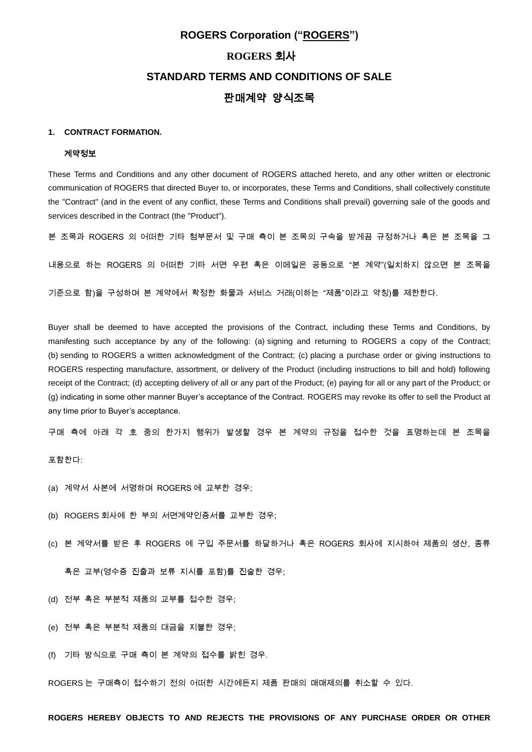# **ROGERS Corporation ("ROGERS") ROGERS** 회사 **STANDARD TERMS AND CONDITIONS OF SALE** 판매계약 양식조목

# **1. CONTRACT FORMATION.**

# 계약정보

These Terms and Conditions and any other document of ROGERS attached hereto, and any other written or electronic communication of ROGERS that directed Buyer to, or incorporates, these Terms and Conditions, shall collectively constitute the "Contract" (and in the event of any conflict, these Terms and Conditions shall prevail) governing sale of the goods and services described in the Contract (the "Product").

본 조목과 ROGERS 의 어떠한 기타 첨부문서 및 구매 측이 본 조목의 구속을 받게끔 규정하거나 혹은 본 조목을 그

내용으로 하는 ROGERS 의 어떠한 기타 서면 우편 혹은 이메일은 공동으로 "본 계약"(일치하지 않으면 본 조목을

기준으로 함)을 구성하며 본 계약에서 확정한 화물과 서비스 거래(이하는 "제품"이라고 약칭)를 제한한다.

Buyer shall be deemed to have accepted the provisions of the Contract, including these Terms and Conditions, by manifesting such acceptance by any of the following: (a) signing and returning to ROGERS a copy of the Contract; (b) sending to ROGERS a written acknowledgment of the Contract; (c) placing a purchase order or giving instructions to ROGERS respecting manufacture, assortment, or delivery of the Product (including instructions to bill and hold) following receipt of the Contract; (d) accepting delivery of all or any part of the Product; (e) paying for all or any part of the Product; or (g) indicating in some other manner Buyer's acceptance of the Contract. ROGERS may revoke its offer to sell the Product at any time prior to Buyer's acceptance.

구매 측에 아래 각 호 중의 한가지 행위가 발생할 경우 본 계약의 규정을 접수한 것을 표명하는데 본 조목을

포함한다:

- (a) 계약서 사본에 서명하며 ROGERS 에 교부한 경우;
- (b) ROGERS 회사에 한 부의 서면계약인증서를 교부한 경우;
- (c) 본 계약서를 받은 후 ROGERS 에 구입 주문서를 하달하거나 혹은 ROGERS 회사에 지시하여 제품의 생산, 종류

혹은 교부(영수증 진출과 보류 지시를 포함)를 진술한 경우;

- (d) 전부 혹은 부분적 제품의 교부를 접수한 경우;
- (e) 전부 혹은 부분적 제품의 대금을 지불한 경우;
- (f) 기타 방식으로 구매 측이 본 계약의 접수를 밝힌 경우.

ROGERS 는 구매측이 접수하기 전의 어떠한 시간에든지 제품 판매의 매매제의를 취소할 수 있다.

# **ROGERS HEREBY OBJECTS TO AND REJECTS THE PROVISIONS OF ANY PURCHASE ORDER OR OTHER**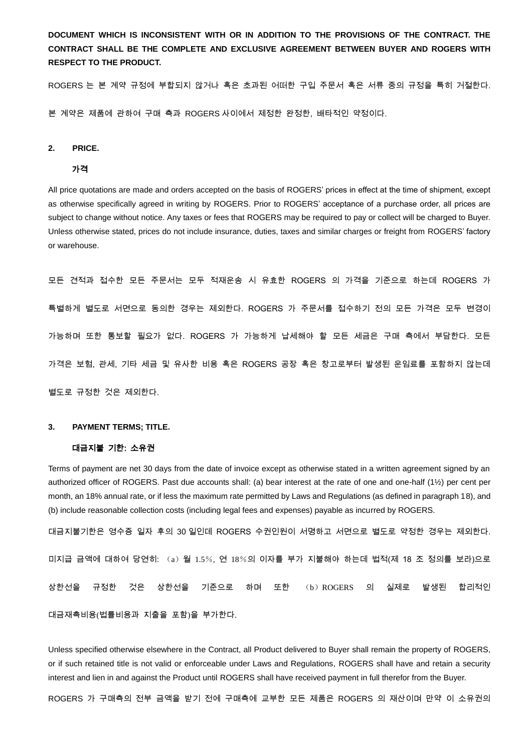**DOCUMENT WHICH IS INCONSISTENT WITH OR IN ADDITION TO THE PROVISIONS OF THE CONTRACT. THE CONTRACT SHALL BE THE COMPLETE AND EXCLUSIVE AGREEMENT BETWEEN BUYER AND ROGERS WITH RESPECT TO THE PRODUCT.** 

ROGERS 는 본 계약 규정에 부합되지 않거나 혹은 초과된 어떠한 구입 주문서 혹은 서류 중의 규정을 특히 거절한다.

본 계약은 제품에 관하여 구매 측과 ROGERS 사이에서 제정한 완정한, 배타적인 약정이다.

## **2. PRICE.**

## 가격

All price quotations are made and orders accepted on the basis of ROGERS' prices in effect at the time of shipment, except as otherwise specifically agreed in writing by ROGERS. Prior to ROGERS' acceptance of a purchase order, all prices are subject to change without notice. Any taxes or fees that ROGERS may be required to pay or collect will be charged to Buyer. Unless otherwise stated, prices do not include insurance, duties, taxes and similar charges or freight from ROGERS' factory or warehouse.

모든 견적과 접수한 모든 주문서는 모두 적재운송 시 유효한 ROGERS 의 가격을 기준으로 하는데 ROGERS 가 특별하게 별도로 서면으로 동의한 경우는 제외한다. ROGERS 가 주문서를 접수하기 전의 모든 가격은 모두 변경이 가능하며 또한 통보할 필요가 없다. ROGERS 가 가능하게 납세해야 할 모든 세금은 구매 측에서 부담한다. 모든 가격은 보험, 관세, 기타 세금 및 유사한 비용 혹은 ROGERS 공장 혹은 창고로부터 발생된 운임료를 포함하지 않는데 별도로 규정한 것은 제외한다.

# **3. PAYMENT TERMS; TITLE.**

# 대금지불 기한: 소유권

Terms of payment are net 30 days from the date of invoice except as otherwise stated in a written agreement signed by an authorized officer of ROGERS. Past due accounts shall: (a) bear interest at the rate of one and one-half (1½) per cent per month, an 18% annual rate, or if less the maximum rate permitted by Laws and Regulations (as defined in paragraph 18), and (b) include reasonable collection costs (including legal fees and expenses) payable as incurred by ROGERS.

대금지불기한은 영수증 일자 후의 30 일인데 ROGERS 수권인원이 서명하고 서면으로 별도로 약정한 경우는 제외한다. 미지급 금액에 대하여 당연히: (a)월 1.5%, 연 18%의 이자를 부가 지불해야 하는데 법적(제 18 조 정의를 보라)으로 상한선을 규정한 것은 상한선을 기준으로 하며 또한 (b)ROGERS 의 실제로 발생된 합리적인 대금재촉비용(법률비용과 지출을 포함)을 부가한다.

Unless specified otherwise elsewhere in the Contract, all Product delivered to Buyer shall remain the property of ROGERS, or if such retained title is not valid or enforceable under Laws and Regulations, ROGERS shall have and retain a security interest and lien in and against the Product until ROGERS shall have received payment in full therefor from the Buyer.

ROGERS 가 구매측의 전부 금액을 받기 전에 구매측에 교부한 모든 제품은 ROGERS 의 재산이며 만약 이 소유권의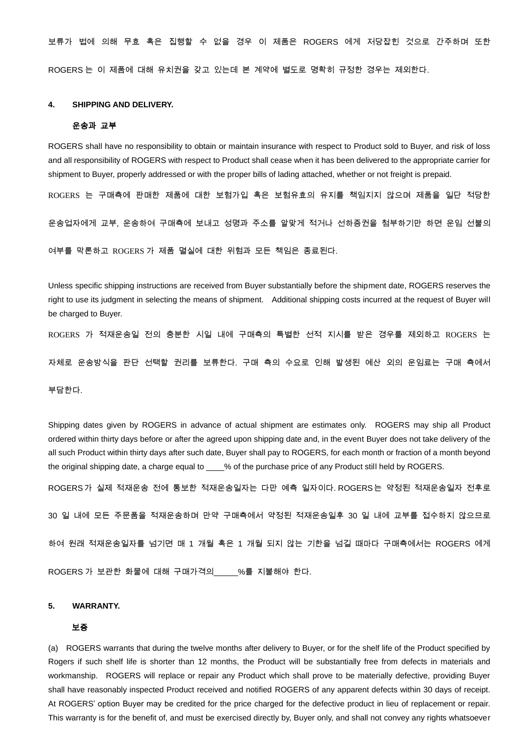보류가 법에 의해 무효 혹은 집행할 수 없을 경우 이 제품은 ROGERS 에게 저당잡힌 것으로 간주하며 또한 ROGERS 는 이 제품에 대해 유치권을 갖고 있는데 본 계약에 별도로 명확히 규정한 경우는 제외한다.

# **4. SHIPPING AND DELIVERY.**

## 운송과 교부

ROGERS shall have no responsibility to obtain or maintain insurance with respect to Product sold to Buyer, and risk of loss and all responsibility of ROGERS with respect to Product shall cease when it has been delivered to the appropriate carrier for shipment to Buyer, properly addressed or with the proper bills of lading attached, whether or not freight is prepaid.

ROGERS 는 구매측에 판매한 제품에 대한 보험가입 혹은 보험유효의 유지를 책임지지 않으며 제품을 일단 적당한

운송업자에게 교부, 운송하여 구매측에 보내고 성명과 주소를 알맞게 적거나 선하증권을 첨부하기만 하면 운임 선불의

여부를 막론하고 ROGERS 가 제품 멸실에 대한 위험과 모든 책임은 종료된다.

Unless specific shipping instructions are received from Buyer substantially before the shipment date, ROGERS reserves the right to use its judgment in selecting the means of shipment. Additional shipping costs incurred at the request of Buyer will be charged to Buyer.

ROGERS 가 적재운송일 전의 충분한 시일 내에 구매측의 특별한 선적 지시를 받은 경우를 제외하고 ROGERS 는

자체로 운송방식을 판단 선택할 권리를 보류한다. 구매 측의 수요로 인해 발생된 예산 외의 운임료는 구매 측에서

부담한다.

Shipping dates given by ROGERS in advance of actual shipment are estimates only. ROGERS may ship all Product ordered within thirty days before or after the agreed upon shipping date and, in the event Buyer does not take delivery of the all such Product within thirty days after such date, Buyer shall pay to ROGERS, for each month or fraction of a month beyond the original shipping date, a charge equal to  $\qquad$  % of the purchase price of any Product still held by ROGERS.

ROGERS가 실제 적재운송 전에 통보한 적재운송일자는 다만 예측 일자이다. ROGERS는 약정된 적재운송일자 전후로

30 일 내에 모든 주문품을 적재운송하며 만약 구매측에서 약정된 적재운송일후 30 일 내에 교부를 접수하지 않으므로

하여 원래 적재운송일자를 넘기면 매 1 개월 혹은 1 개월 되지 않는 기한을 넘길 때마다 구매측에서는 ROGERS 에게

ROGERS 가 보관한 화물에 대해 구매가격의 %를 지불해야 한다.

#### **5. WARRANTY.**

# 보증

(a) ROGERS warrants that during the twelve months after delivery to Buyer, or for the shelf life of the Product specified by Rogers if such shelf life is shorter than 12 months, the Product will be substantially free from defects in materials and workmanship. ROGERS will replace or repair any Product which shall prove to be materially defective, providing Buyer shall have reasonably inspected Product received and notified ROGERS of any apparent defects within 30 days of receipt. At ROGERS' option Buyer may be credited for the price charged for the defective product in lieu of replacement or repair. This warranty is for the benefit of, and must be exercised directly by, Buyer only, and shall not convey any rights whatsoever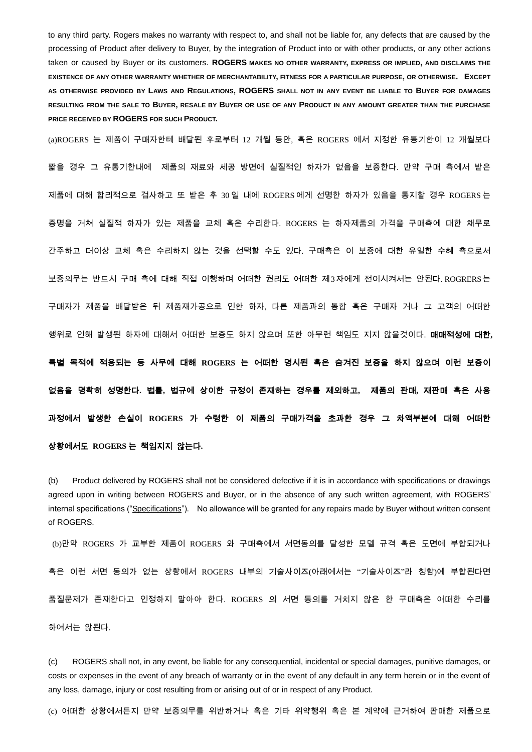to any third party. Rogers makes no warranty with respect to, and shall not be liable for, any defects that are caused by the processing of Product after delivery to Buyer, by the integration of Product into or with other products, or any other actions taken or caused by Buyer or its customers. **ROGERS MAKES NO OTHER WARRANTY, EXPRESS OR IMPLIED, AND DISCLAIMS THE EXISTENCE OF ANY OTHER WARRANTY WHETHER OF MERCHANTABILITY, FITNESS FOR A PARTICULAR PURPOSE, OR OTHERWISE. EXCEPT AS OTHERWISE PROVIDED BY LAWS AND REGULATIONS, ROGERS SHALL NOT IN ANY EVENT BE LIABLE TO BUYER FOR DAMAGES RESULTING FROM THE SALE TO BUYER, RESALE BY BUYER OR USE OF ANY PRODUCT IN ANY AMOUNT GREATER THAN THE PURCHASE PRICE RECEIVED BY ROGERS FOR SUCH PRODUCT.**

(a)ROGERS 는 제품이 구매자한테 배달된 후로부터 12 개월 동안, 혹은 ROGERS 에서 지정한 유통기한이 12 개월보다

짧을 경우 그 유통기한내에 제품의 재료와 세공 방면에 실질적인 하자가 없음을 보증한다. 만약 구매 측에서 받은 제품에 대해 합리적으로 검사하고 또 받은 후 30 일 내에 ROGERS 에게 선명한 하자가 있음을 통지할 경우 ROGERS 는 증명을 거쳐 실질적 하자가 있는 제품을 교체 혹은 수리한다. ROGERS 는 하자제품의 가격을 구매측에 대한 채무로 간주하고 더이상 교체 혹은 수리하지 않는 것을 선택할 수도 있다. 구매측은 이 보증에 대한 유일한 수혜 측으로서 보증의무는 반드시 구매 측에 대해 직접 이행하며 어떠한 권리도 어떠한 제3자에게 전이시켜서는 안된다. ROGRERS는 구매자가 제품을 배달받은 뒤 제품재가공으로 인한 하자, 다른 제품과의 통합 혹은 구매자 거나 그 고객의 어떠한 행위로 인해 발생된 하자에 대해서 어떠한 보증도 하지 않으며 또한 아무런 책임도 지지 않을것이다. 매매적성에 대한**,**  특별 목적에 적용되는 등 사무에 대해 **ROGERS** 는 어떠한 명시된 혹은 숨겨진 보증을 하지 않으며 이런 보증이 없음을 명확히 성명한다**.** 법률**,** 법규에 상이한 규정이 존재하는 경우를 제외하고**,** 제품의 판매**,** 재판매 혹은 사용 과정에서 발생한 손실이 **ROGERS** 가 수령한 이 제품의 구매가격을 초과한 경우 그 차액부분에 대해 어떠한 상황에서도 **ROGERS** 는 책임지지 않는다**.** 

(b) Product delivered by ROGERS shall not be considered defective if it is in accordance with specifications or drawings agreed upon in writing between ROGERS and Buyer, or in the absence of any such written agreement, with ROGERS' internal specifications ("Specifications"). No allowance will be granted for any repairs made by Buyer without written consent of ROGERS.

(b)만약 ROGERS 가 교부한 제품이 ROGERS 와 구매측에서 서면동의를 달성한 모델 규격 혹은 도면에 부합되거나 혹은 이런 서면 동의가 없는 상황에서 ROGERS 내부의 기술사이즈(아래에서는 "기술사이즈"라 칭함)에 부합된다면 품질문제가 존재한다고 인정하지 말아야 한다. ROGERS 의 서면 동의를 거치지 않은 한 구매측은 어떠한 수리를 하여서는 않된다.

(c) ROGERS shall not, in any event, be liable for any consequential, incidental or special damages, punitive damages, or costs or expenses in the event of any breach of warranty or in the event of any default in any term herein or in the event of any loss, damage, injury or cost resulting from or arising out of or in respect of any Product.

(c) 어떠한 상황에서든지 만약 보증의무를 위반하거나 혹은 기타 위약행위 혹은 본 계약에 근거하여 판매한 제품으로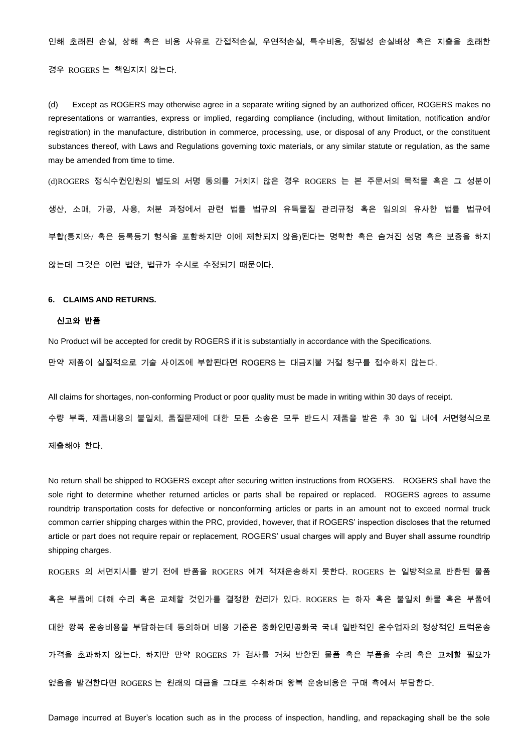인해 초래된 손실, 상해 혹은 비용 사유로 간접적손실, 우연적손실, 특수비용, 징벌성 손실배상 혹은 지출을 초래한 경우 ROGERS 는 책임지지 않는다.

(d) Except as ROGERS may otherwise agree in a separate writing signed by an authorized officer, ROGERS makes no representations or warranties, express or implied, regarding compliance (including, without limitation, notification and/or registration) in the manufacture, distribution in commerce, processing, use, or disposal of any Product, or the constituent substances thereof, with Laws and Regulations governing toxic materials, or any similar statute or regulation, as the same may be amended from time to time.

(d)ROGERS 정식수권인원의 별도의 서명 동의를 거치지 않은 경우 ROGERS 는 본 주문서의 목적물 혹은 그 성분이 생산, 소매, 가공, 사용, 처분 과정에서 관련 법률 법규의 유독물질 관리규정 혹은 임의의 유사한 법률 법규에 부합(통지와/ 혹은 등록등기 형식을 포함하지만 이에 제한되지 않음)된다는 명확한 혹은 숨겨진 성명 혹은 보증을 하지 않는데 그것은 이런 법안, 법규가 수시로 수정되기 때문이다.

# **6. CLAIMS AND RETURNS.**

### 신고와 반품

No Product will be accepted for credit by ROGERS if it is substantially in accordance with the Specifications. 만약 제품이 실질적으로 기술 사이즈에 부합된다면 ROGERS 는 대금지불 거절 청구를 접수하지 않는다.

All claims for shortages, non-conforming Product or poor quality must be made in writing within 30 days of receipt.

수량 부족, 제품내용의 불일치, 품질문제에 대한 모든 소송은 모두 반드시 제품을 받은 후 30 일 내에 서면형식으로

제출해야 한다.

No return shall be shipped to ROGERS except after securing written instructions from ROGERS. ROGERS shall have the sole right to determine whether returned articles or parts shall be repaired or replaced. ROGERS agrees to assume roundtrip transportation costs for defective or nonconforming articles or parts in an amount not to exceed normal truck common carrier shipping charges within the PRC, provided, however, that if ROGERS' inspection discloses that the returned article or part does not require repair or replacement, ROGERS' usual charges will apply and Buyer shall assume roundtrip shipping charges.

ROGERS 의 서면지시를 받기 전에 반품을 ROGERS 에게 적재운송하지 못한다. ROGERS 는 일방적으로 반환된 물품 혹은 부품에 대해 수리 혹은 교체할 것인가를 결정한 권리가 있다. ROGERS 는 하자 혹은 불일치 화물 혹은 부품에 대한 왕복 운송비용을 부담하는데 동의하며 비용 기준은 중화인민공화국 국내 일반적인 운수업자의 정상적인 트럭운송 가격을 초과하지 않는다. 하지만 만약 ROGERS 가 검사를 거쳐 반환된 물품 혹은 부품을 수리 혹은 교체할 필요가 없음을 발견한다면 ROGERS 는 원래의 대금을 그대로 수취하며 왕복 운송비용은 구매 측에서 부담한다.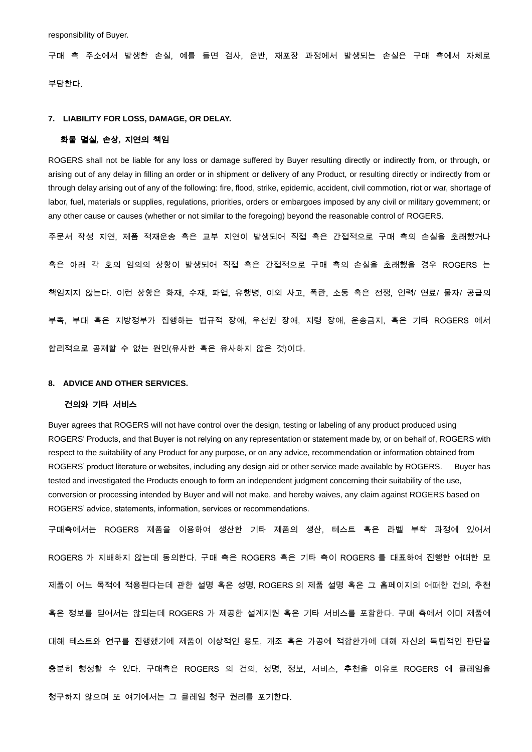responsibility of Buyer.

구매 측 주소에서 발생한 손실, 예를 들면 검사, 운반, 재포장 과정에서 발생되는 손실은 구매 측에서 자체로 부담한다.

# **7. LIABILITY FOR LOSS, DAMAGE, OR DELAY.**

## 화물 멸실**,** 손상**,** 지연의 책임

ROGERS shall not be liable for any loss or damage suffered by Buyer resulting directly or indirectly from, or through, or arising out of any delay in filling an order or in shipment or delivery of any Product, or resulting directly or indirectly from or through delay arising out of any of the following: fire, flood, strike, epidemic, accident, civil commotion, riot or war, shortage of labor, fuel, materials or supplies, regulations, priorities, orders or embargoes imposed by any civil or military government; or any other cause or causes (whether or not similar to the foregoing) beyond the reasonable control of ROGERS.

주문서 작성 지연, 제품 적재운송 혹은 교부 지연이 발생되어 직접 혹은 간접적으로 구매 측의 손실을 초래했거나 혹은 아래 각 호의 임의의 상황이 발생되어 직접 혹은 간접적으로 구매 측의 손실을 초래했을 경우 ROGERS 는 책임지지 않는다. 이런 상황은 화재, 수재, 파업, 유행병, 이외 사고, 폭란, 소동 혹은 전쟁, 인력/ 연료/ 물자/ 공급의 부족, 부대 혹은 지방정부가 집행하는 법규적 장애, 우선권 장애, 지령 장애, 운송금지, 혹은 기타 ROGERS 에서 합리적으로 공제할 수 없는 원인(유사한 혹은 유사하지 않은 것)이다.

#### **8. ADVICE AND OTHER SERVICES.**

# 건의와 기타 서비스

Buyer agrees that ROGERS will not have control over the design, testing or labeling of any product produced using ROGERS' Products, and that Buyer is not relying on any representation or statement made by, or on behalf of, ROGERS with respect to the suitability of any Product for any purpose, or on any advice, recommendation or information obtained from ROGERS' product literature or websites, including any design aid or other service made available by ROGERS. Buyer has tested and investigated the Products enough to form an independent judgment concerning their suitability of the use, conversion or processing intended by Buyer and will not make, and hereby waives, any claim against ROGERS based on ROGERS' advice, statements, information, services or recommendations.

구매측에서는 ROGERS 제품을 이용하여 생산한 기타 제품의 생산, 테스트 혹은 라벨 부착 과정에 있어서 ROGERS 가 지배하지 않는데 동의한다. 구매 측은 ROGERS 혹은 기타 측이 ROGERS 를 대표하여 진행한 어떠한 모 제품이 어느 목적에 적용된다는데 관한 설명 혹은 성명, ROGERS 의 제품 설명 혹은 그 홈페이지의 어떠한 건의, 추천 혹은 정보를 믿어서는 않되는데 ROGERS 가 제공한 설계지원 혹은 기타 서비스를 포함한다. 구매 측에서 이미 제품에 대해 테스트와 연구를 진행했기에 제품이 이상적인 용도, 개조 혹은 가공에 적합한가에 대해 자신의 독립적인 판단을 충분히 형성할 수 있다. 구매측은 ROGERS 의 건의, 성명, 정보, 서비스, 추천을 이유로 ROGERS 에 클레임을 청구하지 않으며 또 여기에서는 그 클레임 청구 권리를 포기한다.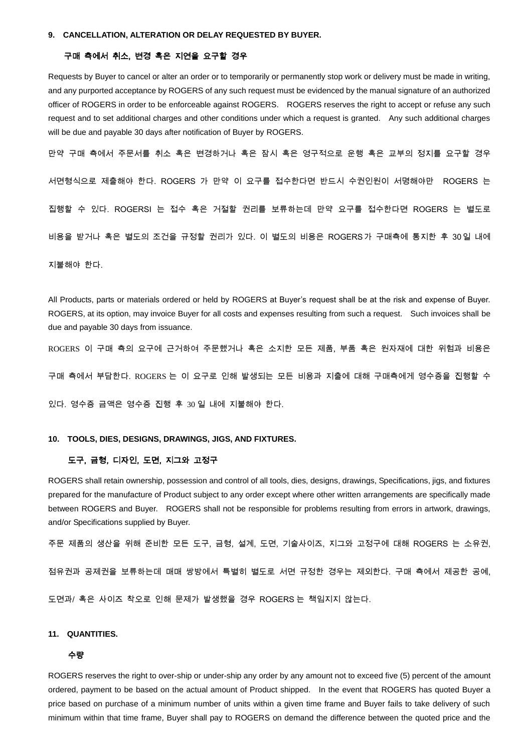# 구매 측에서 취소, 변경 혹은 지연을 요구할 경우

Requests by Buyer to cancel or alter an order or to temporarily or permanently stop work or delivery must be made in writing, and any purported acceptance by ROGERS of any such request must be evidenced by the manual signature of an authorized officer of ROGERS in order to be enforceable against ROGERS. ROGERS reserves the right to accept or refuse any such request and to set additional charges and other conditions under which a request is granted. Any such additional charges will be due and payable 30 days after notification of Buyer by ROGERS.

만약 구매 측에서 주문서를 취소 혹은 변경하거나 혹은 잠시 혹은 영구적으로 운행 혹은 교부의 정지를 요구할 경우 서면형식으로 제출해야 한다. ROGERS 가 만약 이 요구를 접수한다면 반드시 수권인원이 서명해야만 ROGERS 는 집행할 수 있다. ROGERSI 는 접수 혹은 거절할 권리를 보류하는데 만약 요구를 접수한다면 ROGERS 는 별도로 비용을 받거나 혹은 별도의 조건을 규정할 권리가 있다. 이 별도의 비용은 ROGERS가 구매측에 통지한 후 30일 내에 지불해야 한다.

All Products, parts or materials ordered or held by ROGERS at Buyer's request shall be at the risk and expense of Buyer. ROGERS, at its option, may invoice Buyer for all costs and expenses resulting from such a request. Such invoices shall be due and payable 30 days from issuance.

ROGERS 이 구매 측의 요구에 근거하여 주문했거나 혹은 소지한 모든 제품, 부품 혹은 원자재에 대한 위험과 비용은

구매 측에서 부담한다. ROGERS 는 이 요구로 인해 발생되는 모든 비용과 지출에 대해 구매측에게 영수증을 진행할 수

있다. 영수증 금액은 영수증 진행 후 30 일 내에 지불해야 한다.

#### **10. TOOLS, DIES, DESIGNS, DRAWINGS, JIGS, AND FIXTURES.**

## 도구, 금형, 디자인, 도면, 지그와 고정구

ROGERS shall retain ownership, possession and control of all tools, dies, designs, drawings, Specifications, jigs, and fixtures prepared for the manufacture of Product subject to any order except where other written arrangements are specifically made between ROGERS and Buyer. ROGERS shall not be responsible for problems resulting from errors in artwork, drawings, and/or Specifications supplied by Buyer.

주문 제품의 생산을 위해 준비한 모든 도구, 금형, 설계, 도면, 기술사이즈, 지그와 고정구에 대해 ROGERS 는 소유권,

점유권과 공제권을 보류하는데 매매 쌍방에서 특별히 별도로 서면 규정한 경우는 제외한다. 구매 측에서 제공한 공예,

도면과/ 혹은 사이즈 착오로 인해 문제가 발생했을 경우 ROGERS 는 책임지지 않는다.

#### **11. QUANTITIES.**

# 수량

ROGERS reserves the right to over-ship or under-ship any order by any amount not to exceed five (5) percent of the amount ordered, payment to be based on the actual amount of Product shipped. In the event that ROGERS has quoted Buyer a price based on purchase of a minimum number of units within a given time frame and Buyer fails to take delivery of such minimum within that time frame, Buyer shall pay to ROGERS on demand the difference between the quoted price and the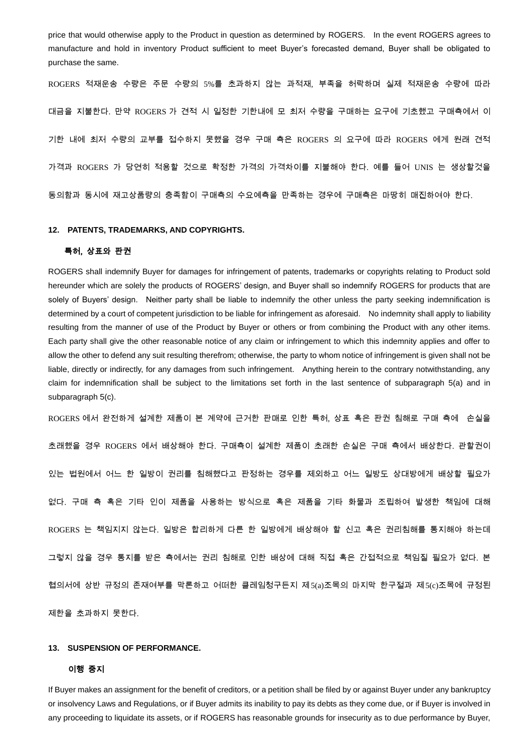price that would otherwise apply to the Product in question as determined by ROGERS. In the event ROGERS agrees to manufacture and hold in inventory Product sufficient to meet Buyer's forecasted demand, Buyer shall be obligated to purchase the same.

ROGERS 적재운송 수량은 주문 수량의 5%를 초과하지 않는 과적재, 부족을 허락하며 실제 적재운송 수량에 따라 대금을 지불한다. 만약 ROGERS 가 견적 시 일정한 기한내에 모 최저 수량을 구매하는 요구에 기초했고 구매측에서 이 기한 내에 최저 수량의 교부를 접수하지 못했을 경우 구매 측은 ROGERS 의 요구에 따라 ROGERS 에게 원래 견적 가격과 ROGERS 가 당연히 적용할 것으로 확정한 가격의 가격차이를 지불해야 한다. 예를 들어 UNIS 는 생상할것을 동의함과 동시에 재고상품량의 충족함이 구매측의 수요예측을 만족하는 경우에 구매측은 마땅히 매진하여야 한다.

#### **12. PATENTS, TRADEMARKS, AND COPYRIGHTS.**

# 특허, 상표와 판권

ROGERS shall indemnify Buyer for damages for infringement of patents, trademarks or copyrights relating to Product sold hereunder which are solely the products of ROGERS' design, and Buyer shall so indemnify ROGERS for products that are solely of Buyers' design. Neither party shall be liable to indemnify the other unless the party seeking indemnification is determined by a court of competent jurisdiction to be liable for infringement as aforesaid. No indemnity shall apply to liability resulting from the manner of use of the Product by Buyer or others or from combining the Product with any other items. Each party shall give the other reasonable notice of any claim or infringement to which this indemnity applies and offer to allow the other to defend any suit resulting therefrom; otherwise, the party to whom notice of infringement is given shall not be liable, directly or indirectly, for any damages from such infringement. Anything herein to the contrary notwithstanding, any claim for indemnification shall be subject to the limitations set forth in the last sentence of subparagraph 5(a) and in subparagraph 5(c).

ROGERS 에서 완전하게 설계한 제품이 본 계약에 근거한 판매로 인한 특허, 상표 혹은 판권 침해로 구매 측에 손실을 초래했을 경우 ROGERS 에서 배상해야 한다. 구매측이 설계한 제품이 초래한 손실은 구매 측에서 배상한다. 관할권이 있는 법원에서 어느 한 일방이 권리를 침해했다고 판정하는 경우를 제외하고 어느 일방도 상대방에게 배상할 필요가 없다. 구매 측 혹은 기타 인이 제품을 사용하는 방식으로 혹은 제품을 기타 화물과 조립하여 발생한 책임에 대해 ROGERS 는 책임지지 않는다. 일방은 합리하게 다른 한 일방에게 배상해야 할 신고 혹은 권리침해를 통지해야 하는데 그렇지 않을 경우 통지를 받은 측에서는 권리 침해로 인한 배상에 대해 직접 혹은 간접적으로 책임질 필요가 없다. 본 협의서에 상반 규정의 존재여부를 막론하고 어떠한 클레임청구든지 제5(a)조목의 마지막 한구절과 제5(c)조목에 규정된 제한을 초과하지 못한다.

## **13. SUSPENSION OF PERFORMANCE.**

#### 이행 중지

If Buyer makes an assignment for the benefit of creditors, or a petition shall be filed by or against Buyer under any bankruptcy or insolvency Laws and Regulations, or if Buyer admits its inability to pay its debts as they come due, or if Buyer is involved in any proceeding to liquidate its assets, or if ROGERS has reasonable grounds for insecurity as to due performance by Buyer,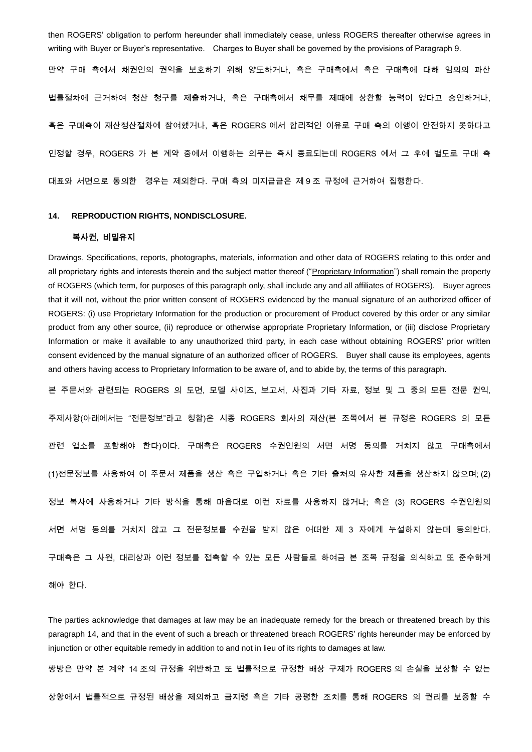then ROGERS' obligation to perform hereunder shall immediately cease, unless ROGERS thereafter otherwise agrees in writing with Buyer or Buyer's representative. Charges to Buyer shall be governed by the provisions of Paragraph 9.

만약 구매 측에서 채권인의 권익을 보호하기 위해 양도하거나, 혹은 구매측에서 혹은 구매측에 대해 임의의 파산 법률절차에 근거하여 청산 청구를 제출하거나, 혹은 구매측에서 채무를 제때에 상환할 능력이 없다고 승인하거나, 혹은 구매측이 재산청산절차에 참여했거나, 혹은 ROGERS 에서 합리적인 이유로 구매 측의 이행이 안전하지 못하다고 인정할 경우, ROGERS 가 본 계약 중에서 이행하는 의무는 즉시 종료되는데 ROGERS 에서 그 후에 별도로 구매 측 대표와 서면으로 동의한 경우는 제외한다. 구매 측의 미지급금은 제 9 조 규정에 근거하여 집행한다.

# **14. REPRODUCTION RIGHTS, NONDISCLOSURE.**

# 복사권, 비밀유지

Drawings, Specifications, reports, photographs, materials, information and other data of ROGERS relating to this order and all proprietary rights and interests therein and the subject matter thereof ("Proprietary Information") shall remain the property of ROGERS (which term, for purposes of this paragraph only, shall include any and all affiliates of ROGERS). Buyer agrees that it will not, without the prior written consent of ROGERS evidenced by the manual signature of an authorized officer of ROGERS: (i) use Proprietary Information for the production or procurement of Product covered by this order or any similar product from any other source, (ii) reproduce or otherwise appropriate Proprietary Information, or (iii) disclose Proprietary Information or make it available to any unauthorized third party, in each case without obtaining ROGERS' prior written consent evidenced by the manual signature of an authorized officer of ROGERS. Buyer shall cause its employees, agents and others having access to Proprietary Information to be aware of, and to abide by, the terms of this paragraph.

본 주문서와 관련되는 ROGERS 의 도면, 모델 사이즈, 보고서, 사진과 기타 자료, 정보 및 그 중의 모든 전문 권익,

주제사항(아래에서는 "전문정보"라고 칭함)은 시종 ROGERS 회사의 재산(본 조목에서 본 규정은 ROGERS 의 모든 관련 업소를 포함해야 한다)이다. 구매측은 ROGERS 수권인원의 서면 서명 동의를 거치지 않고 구매측에서 (1)전문정보를 사용하여 이 주문서 제품을 생산 혹은 구입하거나 혹은 기타 출처의 유사한 제품을 생산하지 않으며; (2) 정보 복사에 사용하거나 기타 방식을 통해 마음대로 이런 자료를 사용하지 않거나; 혹은 (3) ROGERS 수권인원의 서면 서명 동의를 거치지 않고 그 전문정보를 수권을 받지 않은 어떠한 제 3 자에게 누설하지 않는데 동의한다. 구매측은 그 사원, 대리상과 이런 정보를 접촉할 수 있는 모든 사람들로 하여금 본 조목 규정을 의식하고 또 준수하게

해야 한다.

The parties acknowledge that damages at law may be an inadequate remedy for the breach or threatened breach by this paragraph 14, and that in the event of such a breach or threatened breach ROGERS' rights hereunder may be enforced by injunction or other equitable remedy in addition to and not in lieu of its rights to damages at law.

쌍방은 만약 본 계약 14 조의 규정을 위반하고 또 법률적으로 규정한 배상 구제가 ROGERS 의 손실을 보상할 수 없는 상황에서 법률적으로 규정된 배상을 제외하고 금지령 혹은 기타 공평한 조치를 통해 ROGERS 의 권리를 보증할 수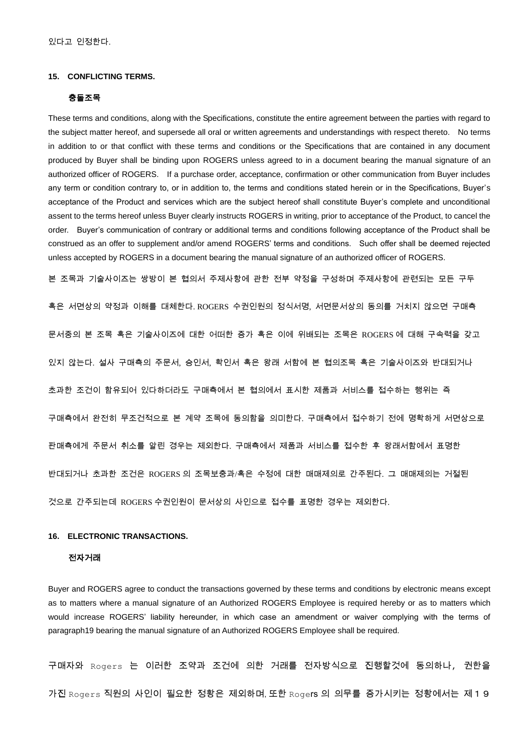# **15. CONFLICTING TERMS.**

#### 충돌조목

These terms and conditions, along with the Specifications, constitute the entire agreement between the parties with regard to the subject matter hereof, and supersede all oral or written agreements and understandings with respect thereto. No terms in addition to or that conflict with these terms and conditions or the Specifications that are contained in any document produced by Buyer shall be binding upon ROGERS unless agreed to in a document bearing the manual signature of an authorized officer of ROGERS. If a purchase order, acceptance, confirmation or other communication from Buyer includes any term or condition contrary to, or in addition to, the terms and conditions stated herein or in the Specifications, Buyer's acceptance of the Product and services which are the subject hereof shall constitute Buyer's complete and unconditional assent to the terms hereof unless Buyer clearly instructs ROGERS in writing, prior to acceptance of the Product, to cancel the order. Buyer's communication of contrary or additional terms and conditions following acceptance of the Product shall be construed as an offer to supplement and/or amend ROGERS' terms and conditions. Such offer shall be deemed rejected unless accepted by ROGERS in a document bearing the manual signature of an authorized officer of ROGERS.

본 조목과 기술사이즈는 쌍방이 본 협의서 주제사항에 관한 전부 약정을 구성하며 주제사항에 관련되는 모든 구두

혹은 서면상의 약정과 이해를 대체한다. ROGERS 수권인원의 정식서명, 서면문서상의 동의를 거치지 않으면 구매측 문서중의 본 조목 혹은 기술사이즈에 대한 어떠한 증가 혹은 이에 위배되는 조목은 ROGERS 에 대해 구속력을 갖고 있지 않는다. 설사 구매측의 주문서, 승인서, 확인서 혹은 왕래 서함에 본 협의조목 혹은 기술사이즈와 반대되거나 초과한 조건이 함유되어 있다하더라도 구매측에서 본 협의에서 표시한 제품과 서비스를 접수하는 행위는 즉 구매측에서 완전히 무조건적으로 본 계약 조목에 동의함을 의미한다. 구매측에서 접수하기 전에 명확하게 서면상으로 판매측에게 주문서 취소를 알린 경우는 제외한다. 구매측에서 제품과 서비스를 접수한 후 왕래서함에서 표명한 반대되거나 초과한 조건은 ROGERS 의 조목보충과/혹은 수정에 대한 매매제의로 간주된다. 그 매매제의는 거절된 것으로 간주되는데 ROGERS 수권인원이 문서상의 사인으로 접수를 표명한 경우는 제외한다.

# **16. ELECTRONIC TRANSACTIONS.**

# 전자거래

Buyer and ROGERS agree to conduct the transactions governed by these terms and conditions by electronic means except as to matters where a manual signature of an Authorized ROGERS Employee is required hereby or as to matters which would increase ROGERS' liability hereunder, in which case an amendment or waiver complying with the terms of paragraph19 bearing the manual signature of an Authorized ROGERS Employee shall be required.

구매자와 Rogers 는 이러한 조약과 조건에 의한 거래를 전자방식으로 진행할것에 동의하나, 권한을 가진 Rogers 직원의 사인이 필요한 정황은 제외하며, 또한 Roge**rs** 의 의무를 증가시키는 정황에서는 제 1 9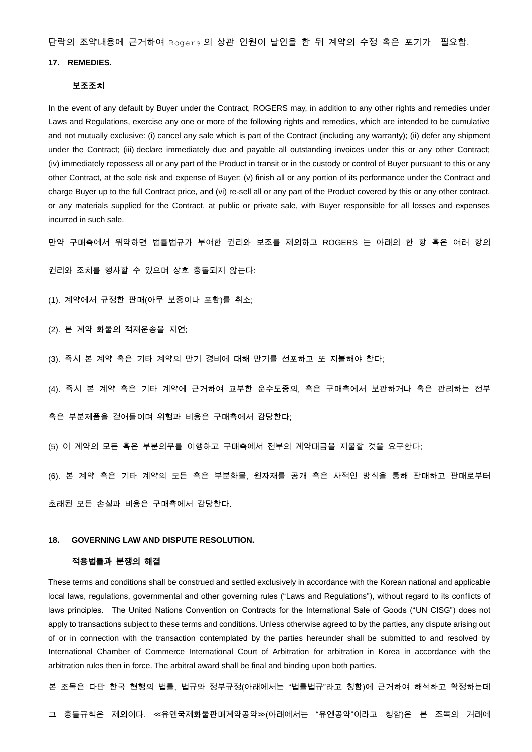단락의 조약내용에 근거하여 Rogers 의 상관 인원이 날인을 한 뒤 계약의 수정 혹은 포기가 필요함.

# **17. REMEDIES.**

#### 보조조치

In the event of any default by Buyer under the Contract, ROGERS may, in addition to any other rights and remedies under Laws and Regulations, exercise any one or more of the following rights and remedies, which are intended to be cumulative and not mutually exclusive: (i) cancel any sale which is part of the Contract (including any warranty); (ii) defer any shipment under the Contract; (iii) declare immediately due and payable all outstanding invoices under this or any other Contract; (iv) immediately repossess all or any part of the Product in transit or in the custody or control of Buyer pursuant to this or any other Contract, at the sole risk and expense of Buyer; (v) finish all or any portion of its performance under the Contract and charge Buyer up to the full Contract price, and (vi) re-sell all or any part of the Product covered by this or any other contract, or any materials supplied for the Contract, at public or private sale, with Buyer responsible for all losses and expenses incurred in such sale.

만약 구매측에서 위약하면 법률법규가 부여한 권리와 보조를 제외하고 ROGERS 는 아래의 한 항 혹은 여러 항의

권리와 조치를 행사할 수 있으며 상호 충돌되지 않는다:

(1). 계약에서 규정한 판매(아무 보증이나 포함)를 취소;

(2). 본 계약 화물의 적재운송을 지연;

(3). 즉시 본 계약 혹은 기타 계약의 만기 경비에 대해 만기를 선포하고 또 지불해야 한다;

(4). 즉시 본 계약 혹은 기타 계약에 근거하여 교부한 운수도중의, 혹은 구매측에서 보관하거나 혹은 관리하는 전부

혹은 부분제품을 걷어들이며 위험과 비용은 구매측에서 감당한다;

(5) 이 계약의 모든 혹은 부분의무를 이행하고 구매측에서 전부의 계약대금을 지불할 것을 요구한다;

(6). 본 계약 혹은 기타 계약의 모든 혹은 부분화물, 원자재를 공개 혹은 사적인 방식을 통해 판매하고 판매로부터

초래된 모든 손실과 비용은 구매측에서 감당한다.

## **18. GOVERNING LAW AND DISPUTE RESOLUTION.**

#### 적용법률과 분쟁의 해결

These terms and conditions shall be construed and settled exclusively in accordance with the Korean national and applicable local laws, regulations, governmental and other governing rules ("Laws and Regulations"), without regard to its conflicts of laws principles. The United Nations Convention on Contracts for the International Sale of Goods ("UN CISG") does not apply to transactions subject to these terms and conditions. Unless otherwise agreed to by the parties, any dispute arising out of or in connection with the transaction contemplated by the parties hereunder shall be submitted to and resolved by International Chamber of Commerce International Court of Arbitration for arbitration in Korea in accordance with the arbitration rules then in force. The arbitral award shall be final and binding upon both parties.

본 조목은 다만 한국 현행의 법률, 법규와 정부규정(아래에서는 "법률법규"라고 칭함)에 근거하여 해석하고 확정하는데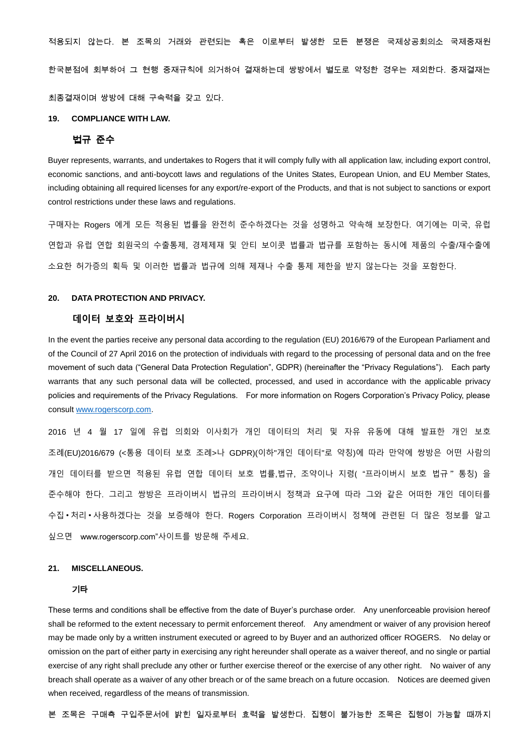적용되지 않는다. 본 조목의 거래와 관련되는 혹은 이로부터 발생한 모든 분쟁은 국제상공회의소 국제중재원 한국분점에 회부하여 그 현행 중재규칙에 의거하여 결재하는데 쌍방에서 별도로 약정한 경우는 제외한다. 중재결재는 최종결재이며 쌍방에 대해 구속력을 갖고 있다.

# **19. COMPLIANCE WITH LAW.**

# 법규 준수

Buyer represents, warrants, and undertakes to Rogers that it will comply fully with all application law, including export control, economic sanctions, and anti-boycott laws and regulations of the Unites States, European Union, and EU Member States, including obtaining all required licenses for any export/re-export of the Products, and that is not subject to sanctions or export control restrictions under these laws and regulations.

구매자는 Rogers 에게 모든 적용된 법률을 완전히 준수하겠다는 것을 성명하고 약속해 보장한다. 여기에는 미국, 유럽 연합과 유럽 연합 회원국의 수출통제, 경제제재 및 안티 보이콧 법률과 법규를 포함하는 동시에 제품의 수출/재수출에 소요한 허가증의 획득 및 이러한 법률과 법규에 의해 제재나 수출 통제 제한을 받지 않는다는 것을 포함한다.

# **20. DATA PROTECTION AND PRIVACY.**

# **데이터 보호와 프라이버시**

In the event the parties receive any personal data according to the regulation (EU) 2016/679 of the European Parliament and of the Council of 27 April 2016 on the protection of individuals with regard to the processing of personal data and on the free movement of such data ("General Data Protection Regulation", GDPR) (hereinafter the "Privacy Regulations"). Each party warrants that any such personal data will be collected, processed, and used in accordance with the applicable privacy policies and requirements of the Privacy Regulations. For more information on Rogers Corporation's Privacy Policy, please consult [www.rogerscorp.com.](http://www.rogerscorp.com/)

2016 년 4 월 17 일에 유럽 의회와 이사회가 개인 데이터의 처리 및 자유 유동에 대해 발표한 개인 보호 조례(EU)2016/679 (<통용 데이터 보호 조례>나 GDPR)(이하"개인 데이터"로 약칭)에 따라 만약에 쌍방은 어떤 사람의 개인 데이터를 받으면 적용된 유럽 연합 데이터 보호 법률,법규, 조약이나 지령( "프라이버시 보호 법규"통칭) 을 준수해야 한다. 그리고 쌍방은 프라이버시 법규의 프라이버시 정책과 요구에 따라 그와 같은 어떠한 개인 데이터를 수집•처리•사용하겠다는 것을 보증해야 한다. Rogers Corporation 프라이버시 정책에 관련된 더 많은 정보를 알고 싶으면 www.rogerscorp.com"사이트를 방문해 주세요.

## **21. MISCELLANEOUS.**

#### 기타

These terms and conditions shall be effective from the date of Buyer's purchase order. Any unenforceable provision hereof shall be reformed to the extent necessary to permit enforcement thereof. Any amendment or waiver of any provision hereof may be made only by a written instrument executed or agreed to by Buyer and an authorized officer ROGERS. No delay or omission on the part of either party in exercising any right hereunder shall operate as a waiver thereof, and no single or partial exercise of any right shall preclude any other or further exercise thereof or the exercise of any other right. No waiver of any breach shall operate as a waiver of any other breach or of the same breach on a future occasion. Notices are deemed given when received, regardless of the means of transmission.

본 조목은 구매측 구입주문서에 밝힌 일자로부터 효력을 발생한다. 집행이 불가능한 조목은 집행이 가능할 때까지